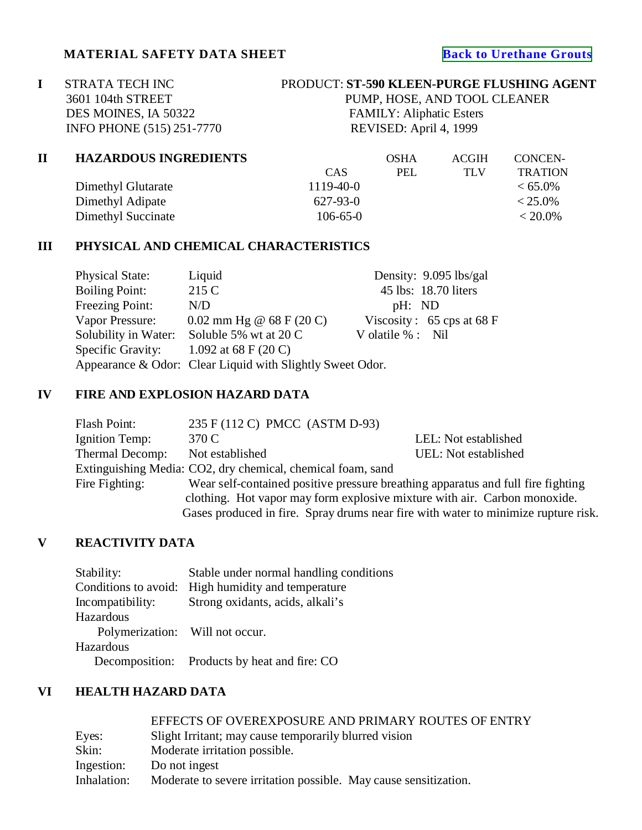## **MATERIAL SAFETY DATA SHEET [Back to Urethane Grouts](http://www.strata-tech.com/urethane.html#590)**

**I** STRATA TECH INC PRODUCT: **ST-590 KLEEN-PURGE FLUSHING AGENT**<br>3601 104th STREET PUMP, HOSE, AND TOOL CLEANER DES MOINES, IA 50322 FAMILY: Aliphatic Esters<br>INFO PHONE (515) 251-7770 REVISED: April 4, 1999 INFO PHONE (515) 251-7770

PUMP, HOSE, AND TOOL CLEANER

| П | <b>HAZARDOUS INGREDIENTS</b> |                 | <b>OSHA</b> | <b>ACGIH</b> | CONCEN-        |
|---|------------------------------|-----------------|-------------|--------------|----------------|
|   |                              | CAS             | PEL         | TI V         | <b>TRATION</b> |
|   | Dimethyl Glutarate           | $1119 - 40 - 0$ |             |              | $< 65.0\%$     |
|   | Dimethyl Adipate             | $627 - 93 - 0$  |             |              | $< 25.0\%$     |
|   | Dimethyl Succinate           | $106 - 65 - 0$  |             |              | $< 20.0\%$     |

### **III PHYSICAL AND CHEMICAL CHARACTERISTICS**

| <b>Physical State:</b>                                    | Liquid                     |                      | Density: 9.095 lbs/gal                      |
|-----------------------------------------------------------|----------------------------|----------------------|---------------------------------------------|
| <b>Boiling Point:</b>                                     | 215 C                      |                      | 45 lbs: 18.70 liters                        |
| Freezing Point:                                           | N/D                        | pH: ND               |                                             |
| Vapor Pressure:                                           | 0.02 mm Hg @ $68$ F (20 C) |                      | Viscosity: $65 \text{cps at } 68 \text{ F}$ |
| Solubility in Water:                                      | Soluble 5% wt at 20 C      | V olatile $\%$ : Nil |                                             |
| Specific Gravity:                                         | 1.092 at 68 F (20 C)       |                      |                                             |
| Appearance & Odor: Clear Liquid with Slightly Sweet Odor. |                            |                      |                                             |

## **IV FIRE AND EXPLOSION HAZARD DATA**

| Flash Point:    | 235 F (112 C) PMCC (ASTM D-93)                                                     |                      |
|-----------------|------------------------------------------------------------------------------------|----------------------|
| Ignition Temp:  | 370 C                                                                              | LEL: Not established |
| Thermal Decomp: | Not established                                                                    | UEL: Not established |
|                 | Extinguishing Media: CO2, dry chemical, chemical foam, sand                        |                      |
| Fire Fighting:  | Wear self-contained positive pressure breathing apparatus and full fire fighting   |                      |
|                 | clothing. Hot vapor may form explosive mixture with air. Carbon monoxide.          |                      |
|                 | Gases produced in fire. Spray drums near fire with water to minimize rupture risk. |                      |

# **V REACTIVITY DATA**

| Stability:                      | Stable under normal handling conditions      |
|---------------------------------|----------------------------------------------|
| Conditions to avoid:            | High humidity and temperature                |
| Incompatibility:                | Strong oxidants, acids, alkali's             |
| Hazardous                       |                                              |
| Polymerization: Will not occur. |                                              |
| Hazardous                       |                                              |
|                                 | Decomposition: Products by heat and fire: CO |

## **VI HEALTH HAZARD DATA**

|             | EFFECTS OF OVEREXPOSURE AND PRIMARY ROUTES OF ENTRY              |
|-------------|------------------------------------------------------------------|
| Eyes:       | Slight Irritant; may cause temporarily blurred vision            |
| Skin:       | Moderate irritation possible.                                    |
| Ingestion:  | Do not ingest                                                    |
| Inhalation: | Moderate to severe irritation possible. May cause sensitization. |